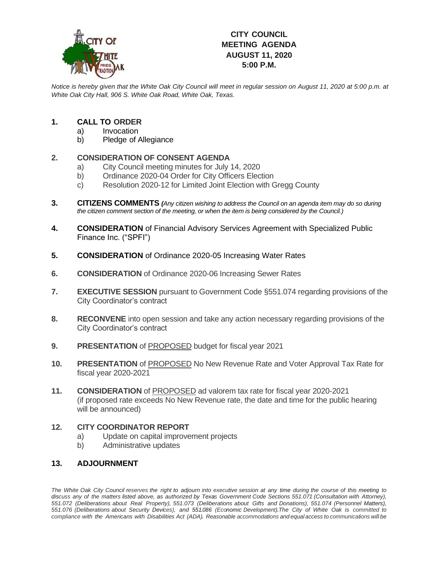

# **CITY COUNCIL MEETING AGENDA AUGUST 11, 2020 5:00 P.M.**

*Notice is hereby given that the White Oak City Council will meet in regular session on August 11, 2020 at 5:00 p.m. at White Oak City Hall, 906 S. White Oak Road, White Oak, Texas.*

#### **1. CALL TO ORDER**

- a) Invocation
- b) Pledge of Allegiance

## **2. CONSIDERATION OF CONSENT AGENDA**

- a) City Council meeting minutes for July 14, 2020
- b) Ordinance 2020-04 Order for City Officers Election
- c) Resolution 2020-12 for Limited Joint Election with Gregg County
- **3. CITIZENS COMMENTS** *(Any citizen wishing to address the Council on an agenda item may do so during the citizen comment section of the meeting, or when the item is being considered by the Council.)*
- **4. CONSIDERATION** of Financial Advisory Services Agreement with Specialized Public Finance Inc. ("SPFI")
- **5. CONSIDERATION** of Ordinance 2020-05 Increasing Water Rates
- **6. CONSIDERATION** of Ordinance 2020-06 Increasing Sewer Rates
- **7. EXECUTIVE SESSION** pursuant to Government Code §551.074 regarding provisions of the City Coordinator's contract
- **8. RECONVENE** into open session and take any action necessary regarding provisions of the City Coordinator's contract
- **9. PRESENTATION** of PROPOSED budget for fiscal year 2021
- **10. PRESENTATION** of PROPOSED No New Revenue Rate and Voter Approval Tax Rate for fiscal year 2020-2021
- **11. CONSIDERATION** of PROPOSED ad valorem tax rate for fiscal year 2020-2021 (if proposed rate exceeds No New Revenue rate, the date and time for the public hearing will be announced)

## **12. CITY COORDINATOR REPORT**

- a) Update on capital improvement projects
- b) Administrative updates

## **13. ADJOURNMENT**

The White Oak City Council reserves the right to adjourn into executive session at any time during the course of this meeting to discuss any of the matters listed above, as authorized by Texas Government Code Sections 551.071 (Consultation with Attorney), *551.072 (Deliberations about Real Property), 551.073 (Deliberations about Gifts and Donations), 551.074 (Personnel Matters), 551.076 (Deliberations about Security Devices), and 551.086 (Economic Development).The City of White Oak is committed to* compliance with the Americans with Disabilities Act (ADA). Reasonable accommodations and equal access to communications will be